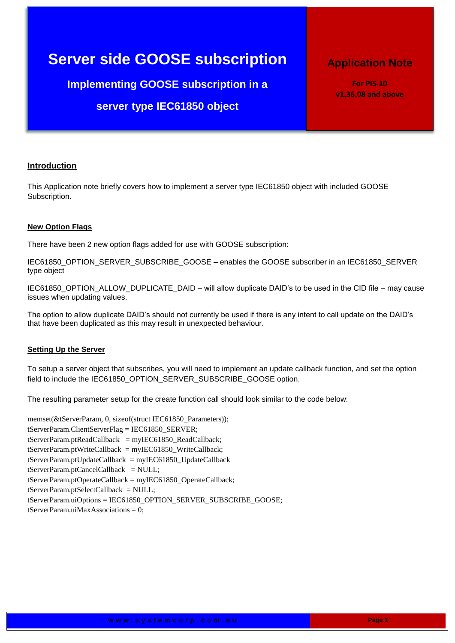# **Server side GOOSE subscription**

**Implementing GOOSE subscription in a server type IEC61850 object**

# **Application Note**

**For PIS-10 v1.36.08 and above**

# **Introduction**

This Application note briefly covers how to implement a server type IEC61850 object with included GOOSE Subscription.

#### **New Option Flags**

There have been 2 new option flags added for use with GOOSE subscription:

IEC61850\_OPTION\_SERVER\_SUBSCRIBE\_GOOSE – enables the GOOSE subscriber in an IEC61850\_SERVER type object

IEC61850\_OPTION\_ALLOW\_DUPLICATE\_DAID – will allow duplicate DAID's to be used in the CID file – may cause issues when updating values.

The option to allow duplicate DAID's should not currently be used if there is any intent to call update on the DAID's that have been duplicated as this may result in unexpected behaviour.

#### **Setting Up the Server**

To setup a server object that subscribes, you will need to implement an update callback function, and set the option field to include the IEC61850\_OPTION\_SERVER\_SUBSCRIBE\_GOOSE option.

The resulting parameter setup for the create function call should look similar to the code below:

memset(&tServerParam, 0, sizeof(struct IEC61850\_Parameters)); tServerParam.ClientServerFlag = IEC61850\_SERVER;  $t$ ServerParam.ptReadCallback = myIEC61850 ReadCallback; tServerParam.ptWriteCallback = myIEC61850\_WriteCallback; tServerParam.ptUpdateCallback = myIEC61850\_UpdateCallback tServerParam.ptCancelCallback = NULL; tServerParam.ptOperateCallback = myIEC61850\_OperateCallback;  $t$ ServerParam.ptSelectCallback = NULL; tServerParam.uiOptions = IEC61850\_OPTION\_SERVER\_SUBSCRIBE\_GOOSE;  $t$ ServerParam.uiMaxAssociations = 0: